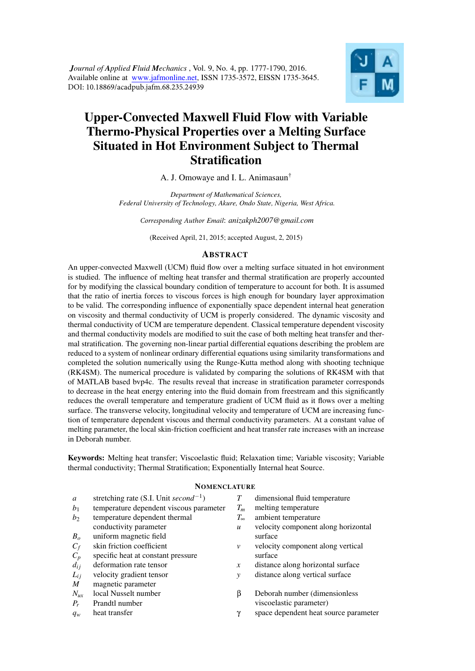*Journal of Applied Fluid Mechanics* , Vol. 9, No. 4, pp. 1777-1790, 2016. Available online at www.jafmonline.net, ISSN 1735-3572, EISSN 1735-3645. DOI: 10.18869/acadpub.jafm.68.235.24939



# Upper-Convected Maxwell Fluid Flow with Variable Thermo-Physical Properties over a Melting Surface Situated in Hot Environment Subject to Thermal **Stratification**

## A. J. Omowaye and I. L. Animasaun†

*Department of Mathematical Sciences, Federal University of Technology, Akure, Ondo State, Nigeria, West Africa.*

*Corresponding Author Email*: *anizakph2007@gmail.com*

(Received April, 21, 2015; accepted August, 2, 2015)

## ABSTRACT

An upper-convected Maxwell (UCM) fluid flow over a melting surface situated in hot environment is studied. The influence of melting heat transfer and thermal stratification are properly accounted for by modifying the classical boundary condition of temperature to account for both. It is assumed that the ratio of inertia forces to viscous forces is high enough for boundary layer approximation to be valid. The corresponding influence of exponentially space dependent internal heat generation on viscosity and thermal conductivity of UCM is properly considered. The dynamic viscosity and thermal conductivity of UCM are temperature dependent. Classical temperature dependent viscosity and thermal conductivity models are modified to suit the case of both melting heat transfer and thermal stratification. The governing non-linear partial differential equations describing the problem are reduced to a system of nonlinear ordinary differential equations using similarity transformations and completed the solution numerically using the Runge-Kutta method along with shooting technique (RK4SM). The numerical procedure is validated by comparing the solutions of RK4SM with that of MATLAB based bvp4c. The results reveal that increase in stratification parameter corresponds to decrease in the heat energy entering into the fluid domain from freestream and this significantly reduces the overall temperature and temperature gradient of UCM fluid as it flows over a melting surface. The transverse velocity, longitudinal velocity and temperature of UCM are increasing function of temperature dependent viscous and thermal conductivity parameters. At a constant value of melting parameter, the local skin-friction coefficient and heat transfer rate increases with an increase in Deborah number.

Keywords: Melting heat transfer; Viscoelastic fluid; Relaxation time; Variable viscosity; Variable thermal conductivity; Thermal Stratification; Exponentially Internal heat Source.

#### **NOMENCLATURE**

| $\mathfrak{a}$ | stretching rate (S.I. Unit second <sup>-1</sup> ) | T                | dimensional fluid temperature         |
|----------------|---------------------------------------------------|------------------|---------------------------------------|
| b <sub>1</sub> | temperature dependent viscous parameter           | $T_m$            | melting temperature                   |
| b <sub>2</sub> | temperature dependent thermal                     | $T_{\infty}$     | ambient temperature                   |
|                | conductivity parameter                            | $\boldsymbol{u}$ | velocity component along horizontal   |
| $B_{\alpha}$   | uniform magnetic field                            |                  | surface                               |
| $C_f$          | skin friction coefficient                         | v                | velocity component along vertical     |
| $C_p$          | specific heat at constant pressure                |                  | surface                               |
| $d_{ij}$       | deformation rate tensor                           | x                | distance along horizontal surface     |
| $L_{ij}$       | velocity gradient tensor                          | $\mathcal{V}$    | distance along vertical surface       |
| M              | magnetic parameter                                |                  |                                       |
| $N_{ux}$       | local Nusselt number                              | β                | Deborah number (dimensionless         |
| $P_r$          | Prandtl number                                    |                  | viscoelastic parameter)               |
| $q_w$          | heat transfer                                     | γ                | space dependent heat source parameter |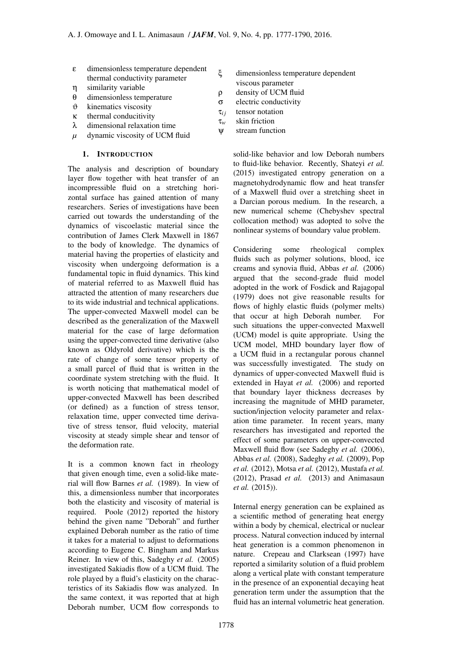- ε dimensionless temperature dependent thermal conductivity parameter
- η similarity variable
- θ dimensionless temperature
- $\vartheta$  kinematics viscosity
- κ thermal conducitivity
- λ dimensional relaxation time
- *µ* dynamic viscosity of UCM fluid

## 1. INTRODUCTION

The analysis and description of boundary layer flow together with heat transfer of an incompressible fluid on a stretching horizontal surface has gained attention of many researchers. Series of investigations have been carried out towards the understanding of the dynamics of viscoelastic material since the contribution of James Clerk Maxwell in 1867 to the body of knowledge. The dynamics of material having the properties of elasticity and viscosity when undergoing deformation is a fundamental topic in fluid dynamics. This kind of material referred to as Maxwell fluid has attracted the attention of many researchers due to its wide industrial and technical applications. The upper-convected Maxwell model can be described as the generalization of the Maxwell material for the case of large deformation using the upper-convected time derivative (also known as Oldyrold derivative) which is the rate of change of some tensor property of a small parcel of fluid that is written in the coordinate system stretching with the fluid. It is worth noticing that mathematical model of upper-convected Maxwell has been described (or defined) as a function of stress tensor, relaxation time, upper convected time derivative of stress tensor, fluid velocity, material viscosity at steady simple shear and tensor of the deformation rate.

It is a common known fact in rheology that given enough time, even a solid-like material will flow Barnes *et al.* (1989). In view of this, a dimensionless number that incorporates both the elasticity and viscosity of material is required. Poole (2012) reported the history behind the gi[ven name "Deborah"](#page-11-0) and further explained Deborah number as the ratio of time it takes for a material to adjust to deformations according t[o Eugene C. B](#page-12-0)ingham and Markus Reiner. In view of this, Sadeghy *et al.* (2005) investigated Sakiadis flow of a UCM fluid. The role played by a fluid's elasticity on the characteristics of its Sakiadis flow was analyzed. In the same context, it wa[s reported that at high](#page-12-1) Deborah number, UCM flow corresponds to

- ξ dimensionless temperature dependent
	- viscous parameter
- ρ density of UCM fluid
- σ electric conductivity
- $\tau_{ij}$  tensor notation τ*<sup>w</sup>* skin friction
- ψ stream function
- 

solid-like behavior and low Deborah numbers to fluid-like behavior. Recently, Shateyi *et al.* (2015) investigated entropy generation on a magnetohydrodynamic flow and heat transfer of a Maxwell fluid over a stretching sheet in a Darcian porous medium. In t[he research, a](#page-13-0) [new n](#page-13-0)umerical scheme (Chebyshev spectral collocation method) was adopted to solve the nonlinear systems of boundary value problem.

Considering some rheological complex fluids such as polymer solutions, blood, ice creams and synovia fluid, Abbas *et al.* (2006) argued that the second-grade fluid model adopted in the work of Fosdick and Rajagopal (1979) does not give reasonable results for flows of highly elastic fl[uids \(polymer melts\)](#page-11-1) that occur at high Deborah number. For such situations the up[per-convected Maxwell](#page-11-2) [\(UCM\)](#page-11-2) model is quite appropriate. Using the UCM model, MHD boundary layer flow of a UCM fluid in a rectangular porous channel was successfully investigated. The study on dynamics of upper-convected Maxwell fluid is extended in Hayat *et al.* (2006) and reported that boundary layer thickness decreases by increasing the magnitude of MHD parameter, suction/injection velocity parameter and relaxation time [parameter. In recent](#page-12-2) years, many researchers has investigated and reported the effect of some parameters on upper-convected Maxwell fluid flow (see Sadeghy *et al.* (2006), Abbas *et al.* (2008), Sadeghy *et al.* (2009), Pop *et al.* (2012), Motsa *et al.* (2012), Mustafa *et al.* (2012), Prasad *et al.* (2013) and Animasaun *et al.* (2015)).

[Internal ener](#page-12-3)[gy generation can b](#page-12-4)[e explained as](#page-12-5) [a scien](#page-12-5)t[ific method of genera](#page-12-6)ting [heat energy](#page-11-3) [within a bod](#page-11-3)y by chemical, electrical or nuclear process. Natural convection induced by internal heat generation is a common phenomenon in nature. Crepeau and Clarksean (1997) have reported a similarity solution of a fluid problem along a vertical plate with constant temperature in the presence of an exponential decaying heat generatio[n term under the assumption tha](#page-11-4)t the fluid has an internal volumetric heat generation.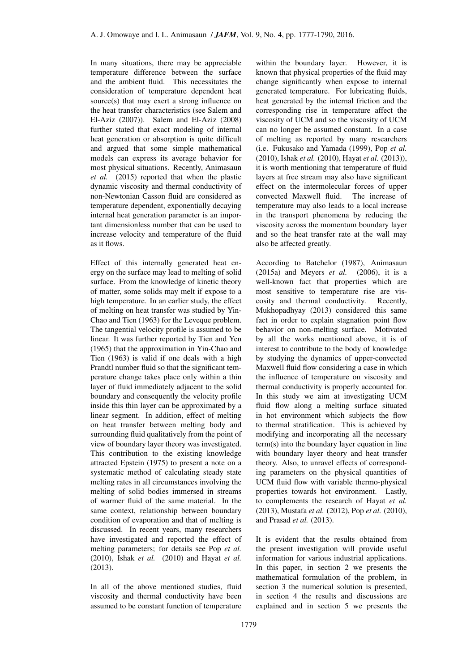In many situations, there may be appreciable temperature difference between the surface and the ambient fluid. This necessitates the consideration of temperature dependent heat source(s) that may exert a strong influence on the heat transfer characteristics (see Salem and El-Aziz (2007)). Salem and El-Aziz (2008) further stated that exact modeling of internal heat generation or absorption is quite difficult and argued that some simple m[athematical](#page-12-7) [models can exp](#page-12-7)re[ss its average behavior for](#page-13-1) most physical situations. Recently, Animasaun *et al.* (2015) reported that when the plastic dynamic viscosity and thermal conductivity of non-Newtonian Casson fluid are considered as temperature dependent, exponential[ly decaying](#page-11-5) [internal heat ge](#page-11-5)neration parameter is an important dimensionless number that can be used to increase velocity and temperature of the fluid as it flows.

Effect of this internally generated heat energy on the surface may lead to melting of solid surface. From the knowledge of kinetic theory of matter, some solids may melt if expose to a high temperature. In an earlier study, the effect of melting on heat transfer was studied by Yin-Chao and Tien (1963) for the Leveque problem. The tangential velocity profile is assumed to be linear. It was further reported by Tien and Yen (1965) that the approximation in Yin-Cha[o and](#page-13-2) [Tien \(1963\)](#page-13-2) is valid if one deals with a high Prandtl number fluid so that the significant temperature change takes place only [within a thin](#page-13-3) [layer o](#page-13-3)f fluid immediately adjace[nt to the solid](#page-13-2) [boundary an](#page-13-2)d consequently the velocity profile inside this thin layer can be approximated by a linear segment. In addition, effect of melting on heat transfer between melting body and surrounding fluid qualitatively from the point of view of boundary layer theory was investigated. This contribution to the existing knowledge attracted Epstein (1975) to present a note on a systematic method of calculating steady state melting rates in all circumstances involving the melting of solid bodies immersed in streams of warm[er fluid of the s](#page-11-6)ame material. In the same context, relationship between boundary condition of evaporation and that of melting is discussed. In recent years, many researchers have investigated and reported the effect of melting parameters; for details see Pop *et al.* (2010), Ishak *et al.* (2010) and Hayat *et al.* (2013).

In all of the above mentioned stu[dies, fluid](#page-12-8) [viscosi](#page-12-8)t[y and thermal condu](#page-12-9)ctivit[y have been](#page-12-10) [assume](#page-12-10)d to be constant function of temperature within the boundary layer. However, it is known that physical properties of the fluid may change significantly when expose to internal generated temperature. For lubricating fluids, heat generated by the internal friction and the corresponding rise in temperature affect the viscosity of UCM and so the viscosity of UCM can no longer be assumed constant. In a case of melting as reported by many researchers (i.e. Fukusako and Yamada (1999), Pop *et al.* (2010), Ishak *et al.* (2010), Hayat *et al.* (2013)), it is worth mentioning that temperature of fluid layers at free stream may also have significant effec[t on the intermolecular force](#page-12-11)s [of upper](#page-12-8) [convec](#page-12-8)t[ed Maxwell fluid](#page-12-9). [The increase o](#page-12-12)f temperature may also leads to a local increase in the transport phenomena by reducing the viscosity across the momentum boundary layer and so the heat transfer rate at the wall may also be affected greatly.

According to Batchelor (1987), Animasaun (2015a) and Meyers *et al.* (2006), it is a well-known fact that properties which are most sensitive to temperature rise are viscosity and th[ermal conductivity](#page-11-7). [Recently,](#page-11-8) [Mukhop](#page-11-8)adhyay (2013) [considered th](#page-12-13)is same fact in order to explain stagnation point flow behavior on non-melting surface. Motivated by all the works mentioned above, it is of [interest to contribute to](#page-12-14) the body of knowledge by studying the dynamics of upper-convected Maxwell fluid flow considering a case in which the influence of temperature on viscosity and thermal conductivity is properly accounted for. In this study we aim at investigating UCM fluid flow along a melting surface situated in hot environment which subjects the flow to thermal stratification. This is achieved by modifying and incorporating all the necessary term(s) into the boundary layer equation in line with boundary layer theory and heat transfer theory. Also, to unravel effects of corresponding parameters on the physical quantities of UCM fluid flow with variable thermo-physical properties towards hot environment. Lastly, to complements the research of Hayat *et al.* (2013), Mustafa *et al.* (2012), Pop *et al.* (2010), and Prasad *et al.* (2013).

It is evident that the results o[btained from](#page-12-10) [the pre](#page-12-10)[sent investigation w](#page-12-5)i[ll provide useful](#page-12-8) info[rmation for various](#page-12-6) industrial applications. In this paper, in section 2 we presents the mathematical formulation of the problem, in section 3 the numerical solution is presented, in section 4 the results and discussions are explained and in section 5 we presents the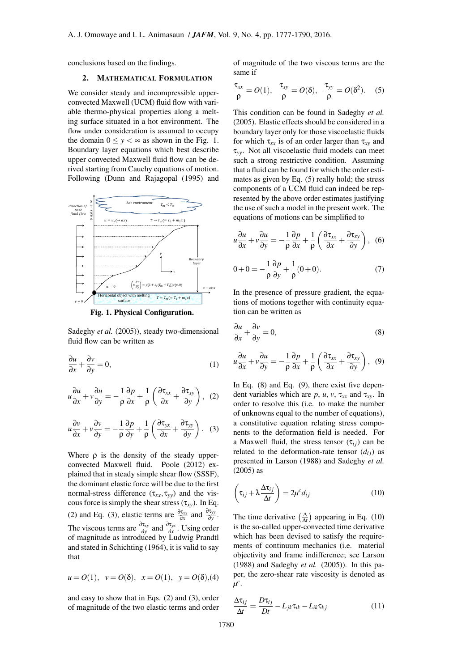conclusions based on the findings.

#### 2. MATHEMATICAL FORMULATION

We consider steady and incompressible upperconvected Maxwell (UCM) fluid flow with variable thermo-physical properties along a melting surface situated in a hot environment. The flow under consideration is assumed to occupy the domain  $0 \le y < \infty$  as shown in the Fig. 1. Boundary layer equations which best describe upper convected Maxwell fluid flow can be derived starting from Cauchy equations of motion. Following (Dunn and Rajagopal (1995) and



Fig. 1. Physical Configuration.

Sadeghy *et al.* (2005)), steady two-dimensional fluid flow can be written as

$$
\frac{\partial u}{\partial x} + \frac{\partial v}{\partial y} = 0,\tag{1}
$$

$$
u\frac{\partial u}{\partial x} + v\frac{\partial u}{\partial y} = -\frac{1}{\rho}\frac{\partial p}{\partial x} + \frac{1}{\rho}\left(\frac{\partial \tau_{xx}}{\partial x} + \frac{\partial \tau_{xy}}{\partial y}\right), (2)
$$

<span id="page-3-0"></span>
$$
u\frac{\partial v}{\partial x} + v\frac{\partial v}{\partial y} = -\frac{1}{\rho}\frac{\partial p}{\partial y} + \frac{1}{\rho}\left(\frac{\partial \tau_{yx}}{\partial x} + \frac{\partial \tau_{yy}}{\partial y}\right).
$$
 (3)

<span id="page-3-1"></span>Where  $\rho$  is the density of the steady upperconvected Maxwell fluid. Poole (2012) explained that in steady simple shear flow (SSSF), the dominant elastic force will be due to the first normal-stress difference  $(\tau_{xx}, \tau_{yy})$  and the viscous force is simply the shear stress  $(\tau_{xy})$ . In Eq. (2) and Eq. (3), elastic terms are  $\frac{\partial \tau_{xx}}{\partial x}$  and  $\frac{\partial \tau_{yy}}{\partial y}$ . The viscous terms are  $\frac{\partial \tau_{yy}}{\partial y}$  and  $\frac{\partial \tau_{yx}}{\partial x}$ . Using order of magnitude as introduced by Ludwig Prandtl and stated in [Sc](#page-3-1)hichting (1964), it is valid to say t[ha](#page-3-0)t

$$
u = O(1), v = O(\delta), x = O(1), y = O(\delta), (4)
$$

and easy to show that in Eqs. (2) and (3), order of magnitude of the two elastic terms and order of magnitude of the two viscous terms are the same if

$$
\frac{\tau_{xx}}{\rho}=O(1),\ \frac{\tau_{xy}}{\rho}=O(\delta),\ \frac{\tau_{yy}}{\rho}=O(\delta^2). \quad (5)
$$

<span id="page-3-2"></span>This condition can be found in Sadeghy *et al.* (2005). Elastic effects should be considered in a boundary layer only for those viscoelastic fluids for which  $\tau_{xx}$  is of an order larger than  $\tau_{xy}$  and τ*yy*. Not all viscoelastic fluid m[odels can meet](#page-12-1) [such a](#page-12-1) strong restrictive condition. Assuming that a fluid can be found for which the order estimates as given by Eq. (5) really hold; the stress components of a UCM fluid can indeed be represented by the above order estimates justifying the use of such a model in the present work. The equations of motions c[an](#page-3-2) be simplified to

$$
u\frac{\partial u}{\partial x} + v\frac{\partial u}{\partial y} = -\frac{1}{\rho}\frac{\partial p}{\partial x} + \frac{1}{\rho}\left(\frac{\partial \tau_{xx}}{\partial x} + \frac{\partial \tau_{xy}}{\partial y}\right), \tag{6}
$$

$$
0 + 0 = -\frac{1}{\rho} \frac{\partial p}{\partial y} + \frac{1}{\rho} (0 + 0). \tag{7}
$$

In the presence of pressure gradient, the equations of motions together with continuity equation can be written as

<span id="page-3-3"></span>
$$
\frac{\partial u}{\partial x} + \frac{\partial v}{\partial y} = 0,\tag{8}
$$

$$
u\frac{\partial u}{\partial x} + v\frac{\partial u}{\partial y} = -\frac{1}{\rho}\frac{\partial p}{\partial x} + \frac{1}{\rho}\left(\frac{\partial \tau_{xx}}{\partial x} + \frac{\partial \tau_{xy}}{\partial y}\right), (9)
$$

<span id="page-3-4"></span>In Eq. (8) and Eq. (9), there exist five dependent variables which are  $p$ ,  $u$ ,  $v$ ,  $\tau_{xx}$  and  $\tau_{xy}$ . In order to resolve this (i.e. to make the number of unknowns equal to the number of equations), a consti[tu](#page-3-3)tive equati[on](#page-3-4) relating stress components to the deformation field is needed. For a Maxwell fluid, the stress tensor  $(\tau_{ij})$  can be related to the deformation-rate tensor  $(d_{ij})$  as presented in Larson (1988) and Sadeghy *et al.* (2005) as

$$
\left(\tau_{ij} + \lambda \frac{\Delta \tau_{ij}}{\Delta t}\right) = 2\mu^c d_{ij} \tag{10}
$$

<span id="page-3-5"></span>[The tim](#page-12-1)e derivative  $\left(\frac{\Delta}{\Delta t}\right)$  appearing in Eq. (10) is the so-called upper-convected time derivative which has been devised to satisfy the requirements of continuum mechanics (i.e. material objectivity and frame indifference; see Lar[son](#page-3-5) (1988) and Sadeghy *et al.* (2005)). In this paper, the zero-shear rate viscosity is denoted as *µ c* .

$$
\frac{\Delta \tau_{ij}}{\Delta t} = \frac{D \tau_{ij}}{Dt} - L_{jk} \tau_{ik} - L_{ik} \tau_{kj}
$$
(11)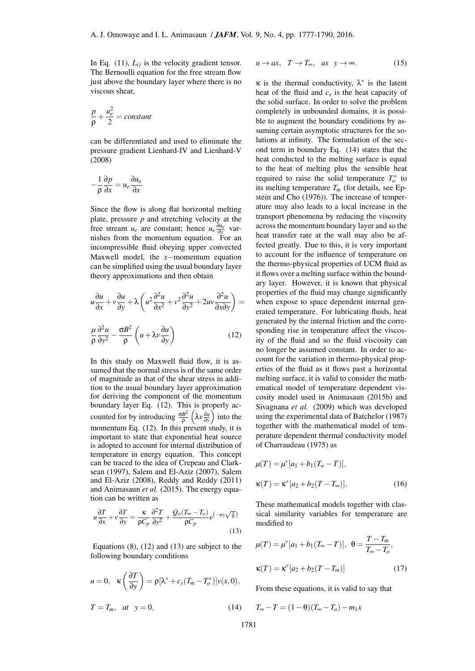In Eq.  $(11)$ ,  $L_{ij}$  is the velocity gradient tensor. The Bernoulli equation for the free stream flow just above the boundary layer where there is no viscous shear,

$$
\frac{p}{\rho} + \frac{u_e^2}{2} = constant
$$

can be differentiated and used to eliminate the pressure gradient Lienhard-IV and Lienhard-V (2008)

$$
-\frac{1}{\rho}\frac{\partial p}{\partial x} = u_e \frac{\partial u_e}{\partial x}
$$

Since the flow is along flat horizontal melting plate, pressure *p* and stretching velocity at the free stream  $u_e$  are constant; hence  $u_e \frac{\partial u_e}{\partial x}$  varnishes from the momentum equation. For an incompressible fluid obeying upper convected Maxwell model, the *x−*momentum equation can be simplified using the usual boundary layer theory approximations and then obtain

$$
u\frac{\partial u}{\partial x} + v\frac{\partial u}{\partial y} + \lambda \left( u^2 \frac{\partial^2 u}{\partial x^2} + v^2 \frac{\partial^2 u}{\partial y^2} + 2uv \frac{\partial^2 u}{\partial x \partial y} \right) =
$$
  

$$
\frac{\mu}{\rho} \frac{\partial^2 u}{\partial y^2} - \frac{\sigma B^2}{\rho} \left( u + \lambda v \frac{\partial u}{\partial y} \right)
$$
(12)

<span id="page-4-0"></span>In this study on Maxwell fluid flow, it is assumed that the normal stress is of the same order of magnitude as that of the shear stress in addition to the usual boundary layer approximation for deriving the component of the momentum boundary layer Eq. (12). This is properly accounted for by introducing  $\frac{\sigma B^2}{9}$ ρ ( λ*v* ∂*u* ∂*y*  $\int$  into the momentum Eq.  $(12)$ . In this present study, it is important to state that exponential heat source is adopted to account [for](#page-4-0) internal distribution of temperature in energy equation. This concept can be traced to the idea of Crepeau and Clarksean (1997), Sal[em](#page-4-0) and El-Aziz (2007), Salem and El-Aziz (2008), Reddy and Reddy (2011) and Animasaun *et al.* (2015). The energy equation can be written as

$$
u\frac{\partial T}{\partial x} + v\frac{\partial T}{\partial y} = \frac{\kappa}{\rho C_p}\frac{\partial^2 T}{\partial y^2} + \frac{Q_o(T_\infty - T_o)}{\rho C_p}e^{-ny\sqrt{\frac{a}{\delta}}}
$$
(13)

Equations (8), (12) and (13) are subject to the following boundary conditions

<span id="page-4-2"></span>
$$
u = 0, \quad \kappa \left(\frac{\partial T}{\partial y}\right) = \rho \left[\lambda^* + c_s (T_m - T_o^*)\right] v(x, 0),
$$
  

$$
T = T_m, \quad at \quad y = 0,
$$
 (14)

$$
u \to ax, \quad T \to T_{\infty}, \quad as \quad y \to \infty. \tag{15}
$$

<span id="page-4-3"></span> $\kappa$  is the thermal conductivity,  $\lambda^*$  is the latent heat of the fluid and *c<sup>s</sup>* is the heat capacity of the solid surface. In order to solve the problem completely in unbounded domains, it is possible to augment the boundary conditions by assuming certain asymptotic structures for the solutions at infinity. The formulation of the second term in boundary Eq. (14) states that the heat conducted to the melting surface is equal to the heat of melting plus the sensible heat required to raise the solid temperature  $T_o^*$  to its melting temperature  $T_m$  ([for](#page-4-2) details, see Epstein and Cho (1976)). The increase of temperature may also leads to a local increase in the transport phenomena by reducing the viscosity across the momentum boundary layer and s[o the](#page-11-10) [heat transfer rate at](#page-11-10) the wall may also be affected greatly. Due to this, it is very important to account for the influence of temperature on the thermo-physical properties of UCM fluid as it flows over a melting surface within the boundary layer. However, it is known that physical properties of the fluid may change significantly when expose to space dependent internal generated temperature. For lubricating fluids, heat generated by the internal friction and the corresponding rise in temperature affect the viscosity of the fluid and so the fluid viscosity can no longer be assumed constant. In order to account for the variation in thermo-physical properties of the fluid as it flows past a horizontal melting surface, it is valid to consider the mathematical model of temperature dependent viscosity model used in Animasaun (2015b) and Sivagnana *et al.* (2009) which was developed using the experimental data of Batchelor (1987) together with the mathematical model of temperature dependent th[ermal conductivity m](#page-11-11)odel of [Charraudeau \(1975\)](#page-13-4) as

$$
\mu(T) = \mu^* [a_1 + b_1(T_w - T)],
$$
  
\n
$$
\kappa(T) = \kappa^* [a_2 + b_2(T - T_{\infty})],
$$
\n(16)

<span id="page-4-4"></span>These mathematical models together with classical similarity variables for temperature are modified to

$$
\mu(T) = \mu^* [a_1 + b_1 (T_{\infty} - T)], \ \ \theta = \frac{T - T_m}{T_{\infty} - T_o},
$$

$$
\kappa(T) = \kappa^* [a_2 + b_2 (T - T_m)] \tag{17}
$$

<span id="page-4-1"></span>From these equations, it is valid to say that

$$
T_{\infty}-T=(1-\theta)(T_{\infty}-T_o)-m_1x
$$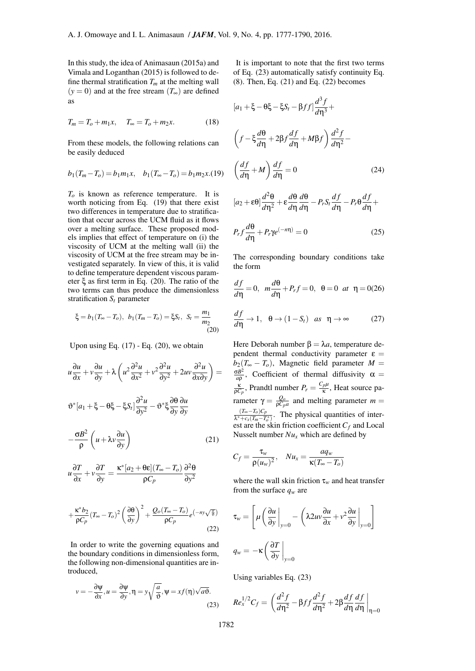In this study, the idea of Animasaun (2015a) and Vimala and Loganthan (2015) is followed to define thermal stratification  $T_m$  at the melting wall  $(y = 0)$  and at the free stream  $(T_{\infty})$  are defined as

$$
T_m = T_o + m_1 x, \quad T_{\infty} = T_o + m_2 x. \tag{18}
$$

From these models, the following relations can be easily deduced

$$
b_1(T_m-T_o) = b_1m_1x
$$
,  $b_1(T_\infty-T_o) = b_1m_2x.(19)$ 

<span id="page-5-0"></span>*T<sup>o</sup>* is known as reference temperature. It is worth noticing from Eq. (19) that there exist two differences in temperature due to stratification that occur across the UCM fluid as it flows over a melting surface. These proposed models implies that effect of temperature on (i) the viscosity of UCM at the [melt](#page-5-0)ing wall (ii) the viscosity of UCM at the free stream may be investigated separately. In view of this, it is valid to define temperature dependent viscous parameter ξ as first term in Eq. (20). The ratio of the two terms can thus produce the dimensionless stratification  $S_t$  parameter

$$
\xi = b_1 (T_{\infty} - T_o), \ b_1 (T_m - T_o) = \xi S_t, \ S_t = \frac{m_1}{m_2}
$$
\n(20)

Upon using Eq.  $(17)$  - Eq.  $(20)$ , we obtain

$$
u\frac{\partial u}{\partial x} + v\frac{\partial u}{\partial y} + \lambda \left( u^2 \frac{\partial^2 u}{\partial x^2} + v^2 \frac{\partial^2 u}{\partial y^2} + 2uv \frac{\partial^2 u}{\partial x \partial y} \right) =
$$
  

$$
\vartheta^* [a_1 + \xi - \theta \xi - \xi S_t] \frac{\partial^2 u}{\partial y^2} - \vartheta^* \xi \frac{\partial \theta}{\partial y} \frac{\partial u}{\partial y}
$$
  

$$
-\frac{\sigma B^2}{\rho} \left( u + \lambda v \frac{\partial u}{\partial y} \right)
$$
(21)

$$
u\frac{\partial T}{\partial x} + v\frac{\partial T}{\partial y} = \frac{\kappa^*[a_2 + \theta \varepsilon](T_\infty - T_o)}{\rho C_p} \frac{\partial^2 \theta}{\partial y^2}
$$

$$
+\frac{\kappa^* b_2}{\rho C_p} (T_\infty - T_o)^2 \left(\frac{\partial \theta}{\partial y}\right)^2 + \frac{Q_o (T_\infty - T_o)}{\rho C_p} e^{\left(-ny\sqrt{\frac{a}{\theta}}\right)}
$$
(22)

In order to write the governing equations and the boundary conditions in dimensionless form, the following non-dimensional quantities are introduced,

$$
v = -\frac{\partial \psi}{\partial x}, u = \frac{\partial \psi}{\partial y}, \eta = y\sqrt{\frac{a}{\vartheta}}, \psi = xf(\eta)\sqrt{a\vartheta}.
$$
\n(23)

It is important to note that the first two terms of Eq. (23) automatically satisfy continuity Eq. (8). Then, Eq. (21) and Eq. (22) becomes

$$
[a_1 + \xi - \theta \xi - \xi S_t - \beta f f] \frac{d^3 f}{d \eta^3} +
$$
  

$$
\left(f - \xi \frac{d\theta}{d \eta} + 2\beta f \frac{df}{d \eta} + M\beta f\right) \frac{d^2 f}{d \eta^2} -
$$
  

$$
\left(\frac{df}{d \eta} + M\right) \frac{df}{d \eta} = 0 \qquad (24)
$$
  

$$
[a_2 + \epsilon \theta] \frac{d^2 \theta}{d \eta^2} + \epsilon \frac{d\theta}{d \eta} \frac{d \theta}{d \eta} - P_r S_t \frac{df}{d \eta} - P_r \theta \frac{df}{d \eta} +
$$

<span id="page-5-3"></span>
$$
P_r f \frac{d\theta}{d\eta} + P_r \gamma e^{(-m)} = 0 \tag{25}
$$

<span id="page-5-4"></span>The corresponding boundary conditions take the form

$$
\frac{df}{d\eta} = 0, \ \ m\frac{d\theta}{d\eta} + P_r f = 0, \ \ \theta = 0 \ \ at \ \ \eta = 0.26
$$

$$
\frac{df}{d\eta} \to 1, \quad \theta \to (1 - S_t) \quad \text{as} \quad \eta \to \infty \tag{27}
$$

<span id="page-5-5"></span>*d f*

<span id="page-5-6"></span><span id="page-5-1"></span>Here Deborah number  $β = λ*a*$ , temperature dependent thermal conductivity parameter  $\varepsilon =$  $b_2(T_\infty - T_o)$ , Magnetic field parameter  $M =$ σ*B* 2  $\frac{5B^2}{a\rho}$ , Coefficient of thermal diffusivity  $\alpha =$  $\frac{\kappa}{\rho C_p}$ , Prandtl number  $P_r = \frac{C_p \mu}{\kappa}$ , Heat source pa*rameter*  $γ = \frac{Q_o}{ρC_p a}$  and melting parameter *m* =  $\frac{(T_{\infty}-T_o)C_p}{\lambda^*+c_s(T_m-T_o^*)}$ . The physical quantities of interest are the skin friction coefficient  $C_f$  and Local Nusselt number *Nu<sup>x</sup>* which are defined by

$$
C_f = \frac{\tau_w}{\rho(u_w)^2}, \quad Nu_x = \frac{aq_w}{\kappa(T_\infty - T_o)}
$$

where the wall skin friction  $\tau_w$  and heat transfer from the surface  $q_w$  are

$$
\tau_w = \left[ \mu \left( \frac{\partial u}{\partial y} \Big|_{y=0} - \left( \lambda 2uv \frac{\partial u}{\partial x} + v^2 \frac{\partial u}{\partial y} \Big|_{y=0} \right) \right]
$$

$$
q_w = -\kappa \left( \frac{\partial T}{\partial y} \Big|_{y=0} \right)
$$

Using variables Eq. (23)

<span id="page-5-2"></span>
$$
Re_x^{1/2}C_f = \left(\frac{d^2f}{d\eta^2} - \beta ff \frac{d^2f}{d\eta^2} + 2\beta \frac{df}{d\eta} \frac{df}{d\eta}\right)_{\eta=0}
$$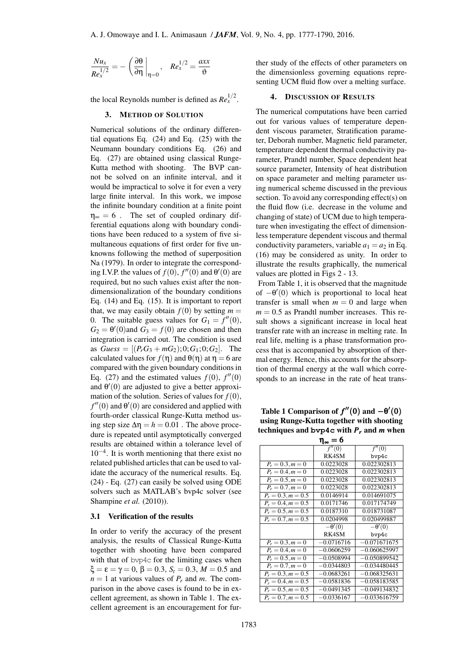$$
\frac{Nu_{x}}{Re_{x}^{1/2}}=-\left(\frac{\partial\theta}{\partial\eta}\bigg|_{\eta=0},\quad Re_{x}^{1/2}=\frac{axx}{\vartheta}
$$

the local Reynolds number is defined as  $Re<sub>x</sub><sup>1/2</sup>$ .

#### 3. METHOD OF SOLUTION

Numerical solutions of the ordinary differential equations Eq. (24) and Eq. (25) with the Neumann boundary conditions Eq. (26) and Eq. (27) are obtained using classical Runge-Kutta method with shooting. The BVP cannot be solved on [an](#page-5-3) infinite int[erv](#page-5-4)al, and it would be impractical to solve it for eve[n a](#page-5-5) very large [fini](#page-5-6)te interval. In this work, we impose the infinite boundary condition at a finite point  $\eta_{\infty} = 6$ . The set of coupled ordinary differential equations along with boundary conditions have been reduced to a system of five simultaneous equations of first order for five unknowns following the method of superposition Na (1979). In order to integrate the corresponding I.V.P. the values of  $f(0)$ ,  $f''(0)$  and  $\theta'(0)$  are required, but no such values exist after the nondimensionalization of the boundary conditions [Eq. \(14\) a](#page-12-17)nd Eq. (15). It is important to report that, we may easily obtain  $f(0)$  by setting  $m =$ 0. The suitable guess values for  $G_1 = f''(0)$ ,  $G_2 = \theta'(0)$  and  $G_3 = f(0)$  are chosen and then integ[rati](#page-4-2)on is carri[ed o](#page-4-3)ut. The condition is used as  $Guess = [(P<sub>r</sub>G<sub>3</sub> + mG<sub>2</sub>); 0; G<sub>1</sub>; 0; G<sub>2</sub>].$  The calculated values for  $f(\eta)$  and  $\theta(\eta)$  at  $\eta = 6$  are compared with the given boundary conditions in Eq. (27) and the estimated values  $f(0)$ ,  $f''(0)$ and  $\theta'(0)$  are adjusted to give a better approximation of the solution. Series of values for  $f(0)$ ,  $f''(0)$  and  $\theta'(0)$  are considered and applied with fourt[h-o](#page-5-6)rder classical Runge-Kutta method using step size  $\Delta \eta = h = 0.01$ . The above procedure is repeated until asymptotically converged results are obtained within a tolerance level of 10*−*<sup>4</sup> . It is worth mentioning that there exist no related published articles that can be used to validate the accuracy of the numerical results. Eq. (24) - Eq. (27) can easily be solved using ODE solvers such as MATLAB's bvp4c solver (see Shampine *et al.* (2010)).

#### [3.1](#page-5-3) Veri[ficat](#page-5-6)ion of the results

In order to verify the accuracy of the present [analysis, the results of](#page-13-5) Classical Runge-Kutta together with shooting have been compared with that of byp4c for the limiting cases when  $\xi = \varepsilon = \gamma = 0$ ,  $\beta = 0.3$ ,  $S_t = 0.3$ ,  $M = 0.5$  and  $n = 1$  at various values of  $P_r$  and *m*. The comparison in the above cases is found to be in excellent agreement, as shown in Table 1. The excellent agreement is an encouragement for further study of the effects of other parameters on the dimensionless governing equations representing UCM fluid flow over a melting surface.

### 4. DISCUSSION OF RESULTS

The numerical computations have been carried out for various values of temperature dependent viscous parameter, Stratification parameter, Deborah number, Magnetic field parameter, temperature dependent thermal conductivity parameter, Prandtl number, Space dependent heat source parameter, Intensity of heat distribution on space parameter and melting parameter using numerical scheme discussed in the previous section. To avoid any corresponding effect(s) on the fluid flow (i.e. decrease in the volume and changing of state) of UCM due to high temperature when investigating the effect of dimensionless temperature dependent viscous and thermal conductivity parameters, variable  $a_1 = a_2$  in Eq. (16) may be considered as unity. In order to illustrate the results graphically, the numerical values are plotted in Figs 2 - 13.

From Table 1, it is observed that the magnitude [of](#page-4-4) *−*θ *′* (0) which is proportional to local heat transfer is small when  $m = 0$  and large when  $m = 0.5$  as Prandtl number increases. This result shows a significant increase in local heat transfer rate with an increase in melting rate. In real life, melting is a phase transformation process that is accompanied by absorption of thermal energy. Hence, this accounts for the absorption of thermal energy at the wall which corresponds to an increase in the rate of heat trans-

Table 1 Comparison of  $f''(0)$  and  $-\theta'(0)$ using Runge-Kutta together with shooting techniques and **bvp4c** with *P<sup>r</sup>* and *m* when  $n = 6$ 

| 'l∞ <sup>— ∪</sup>   |                     |                |  |  |
|----------------------|---------------------|----------------|--|--|
|                      | $\overline{f''(0)}$ | f''(0)         |  |  |
|                      | RK4SM               | bvp4c          |  |  |
| $P_r = 0.3, m = 0$   | 0.0223028           | 0.022302813    |  |  |
| $P_r = 0.4, m = 0$   | 0.0223028           | 0.022302813    |  |  |
| $P_r = 0.5, m = 0$   | 0.0223028           | 0.022302813    |  |  |
| $P_r = 0.7, m = 0$   | 0.0223028           | 0.022302813    |  |  |
| $P_r = 0.3, m = 0.5$ | 0.0146914           | 0.014691075    |  |  |
| $P_r = 0.4, m = 0.5$ | 0.0171746           | 0.017174749    |  |  |
| $P_r = 0.5, m = 0.5$ | 0.0187310           | 0.018731087    |  |  |
| $P_r = 0.7, m = 0.5$ | 0.0204998           | 0.020499887    |  |  |
|                      | $-\theta'(0)$       | $-\theta'(0)$  |  |  |
|                      | RK4SM               | bvp4c          |  |  |
| $P_r = 0.3, m = 0$   | $-0.0716716$        | $-0.071671675$ |  |  |
| $P_r = 0.4, m = 0$   | $-0.0606259$        | $-0.060625997$ |  |  |
| $P_r = 0.5, m = 0$   | $-0.0508994$        | $-0.050899542$ |  |  |
| $P_r = 0.7, m = 0$   | $-0.0344803$        | $-0.034480445$ |  |  |
| $P_r = 0.3, m = 0.5$ | $-0.0683261$        | $-0.068325631$ |  |  |
| $P_r = 0.4, m = 0.5$ | $-0.0581836$        | $-0.058183585$ |  |  |
| $P_r = 0.5, m = 0.5$ | $-0.0491345$        | $-0.049134832$ |  |  |
| $P_r = 0.7, m = 0.5$ | $-0.0336167$        | $-0.033616759$ |  |  |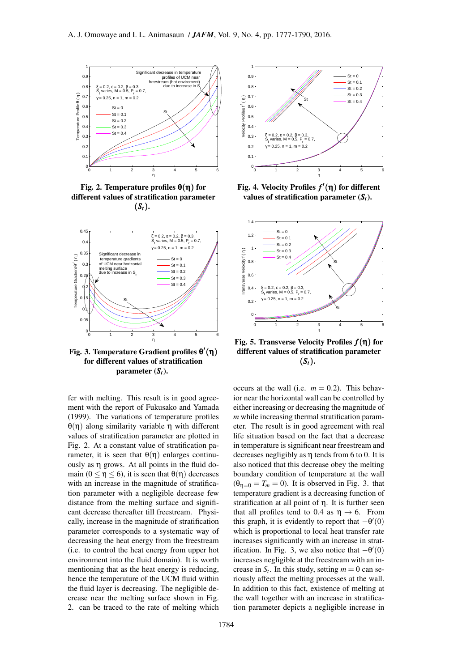

Fig. 2. Temperature profiles  $\theta(\eta)$  for different values of stratification parameter  $(S_t)$ .



Fig. 3. Temperature Gradient profiles θ *′* (η) for different values of stratification parameter  $(S_t)$ .

fer with melting. This result is in good agreement with the report of Fukusako and Yamada (1999). The variations of temperature profiles θ(η) along similarity variable η with different values of stratification parameter are plotted in Fig. 2. At a constant va[lue of stratification pa](#page-12-11)[ramete](#page-12-11)r, it is seen that  $\theta(\eta)$  enlarges continuously as η grows. At all points in the fluid domain ( $0 \le \eta \le 6$ ), it is seen that  $\theta(\eta)$  decreases with an increase in the magnitude of stratification parameter with a negligible decrease few distance from the melting surface and significant decrease thereafter till freestream. Physically, increase in the magnitude of stratification parameter corresponds to a systematic way of decreasing the heat energy from the freestream (i.e. to control the heat energy from upper hot environment into the fluid domain). It is worth mentioning that as the heat energy is reducing, hence the temperature of the UCM fluid within the fluid layer is decreasing. The negligible decrease near the melting surface shown in Fig. 2. can be traced to the rate of melting which



Fig. 4. Velocity Profiles *f ′* (η) for different values of stratification parameter (*St*).



Fig. 5. Transverse Velocity Profiles *f*(η) for different values of stratification parameter  $(S_t)$ .

occurs at the wall (i.e.  $m = 0.2$ ). This behavior near the horizontal wall can be controlled by either increasing or decreasing the magnitude of *m* while increasing thermal stratification parameter. The result is in good agreement with real life situation based on the fact that a decrease in temperature is significant near freestream and decreases negligibly as  $\eta$  tends from 6 to 0. It is also noticed that this decrease obey the melting boundary condition of temperature at the wall  $(\theta_{n=0} = T_m = 0)$ . It is observed in Fig. 3. that temperature gradient is a decreasing function of stratification at all point of η. It is further seen that all profiles tend to 0.4 as  $\eta \rightarrow 6$ . From this graph, it is evidently to report that  $-\theta'(0)$ which is proportional to local heat transfer rate increases significantly with an increase in stratification. In Fig. 3, we also notice that  $-\theta'(0)$ increases negligible at the freestream with an increase in  $S_t$ . In this study, setting  $m = 0$  can seriously affect the melting processes at the wall. In addition to this fact, existence of melting at the wall together with an increase in stratification parameter depicts a negligible increase in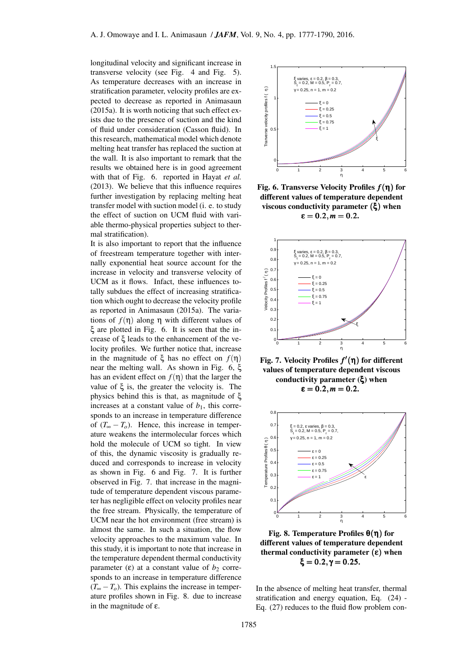longitudinal velocity and significant increase in transverse velocity (see Fig. 4 and Fig. 5). As temperature decreases with an increase in stratification parameter, velocity profiles are expected to decrease as reported in Animasaun (2015a). It is worth noticing that such effect exists due to the presence of suction and the kind of fluid under consideration (Casson fluid). In this research, mathematical model [which denote](#page-11-8) [melting](#page-11-8) heat transfer has replaced the suction at the wall. It is also important to remark that the results we obtained here is in good agreement with that of Fig. 6. reported in Hayat *et al.* (2013). We believe that this influence requires further investigation by replacing melting heat transfer model with suction model (i. e. to study the effect of suction on UCM flui[d with vari](#page-12-10)[able th](#page-12-10)ermo-physical properties subject to thermal stratification).

It is also important to report that the influence of freestream temperature together with internally exponential heat source account for the increase in velocity and transverse velocity of UCM as it flows. Infact, these influences totally subdues the effect of increasing stratification which ought to decrease the velocity profile as reported in Animasaun (2015a). The variations of  $f(η)$  along η with different values of ξ are plotted in Fig. 6. It is seen that the increase of ξ leads to the enhancement of the velocity profiles. [We further notice th](#page-11-8)at, increase in the magnitude of  $\xi$  has no effect on  $f(\eta)$ near the melting wall. As shown in Fig. 6, ξ has an evident effect on  $f(\eta)$  that the larger the value of ξ is, the greater the velocity is. The physics behind this is that, as magnitude of ξ increases at a constant value of  $b_1$ , this corresponds to an increase in temperature difference of  $(T_\infty - T_o)$ . Hence, this increase in temperature weakens the intermolecular forces which hold the molecule of UCM so tight. In view of this, the dynamic viscosity is gradually reduced and corresponds to increase in velocity as shown in Fig. 6 and Fig. 7. It is further observed in Fig. 7. that increase in the magnitude of temperature dependent viscous parameter has negligible effect on velocity profiles near the free stream. Physically, the temperature of UCM near the hot environment (free stream) is almost the same. In such a situation, the flow velocity approaches to the maximum value. In this study, it is important to note that increase in the temperature dependent thermal conductivity parameter (ε) at a constant value of  $b_2$  corresponds to an increase in temperature difference  $(T_{\infty} - T_o)$ . This explains the increase in temperature profiles shown in Fig. 8. due to increase in the magnitude of ε.



Fig. 6. Transverse Velocity Profiles *f*(η) for different values of temperature dependent viscous conductivity parameter (ξ) when  $\varepsilon = 0.2, m = 0.2.$ 



Fig. 7. Velocity Profiles *f ′* (η) for different values of temperature dependent viscous conductivity parameter (ξ) when  $\varepsilon = 0.2, m = 0.2.$ 



Fig. 8. Temperature Profiles θ(η) for different values of temperature dependent thermal conductivity parameter  $(\epsilon)$  when ξ =  $0.2, γ = 0.25$ .

In the absence of melting heat transfer, thermal stratification and energy equation, Eq. (24) - Eq. (27) reduces to the fluid flow problem con-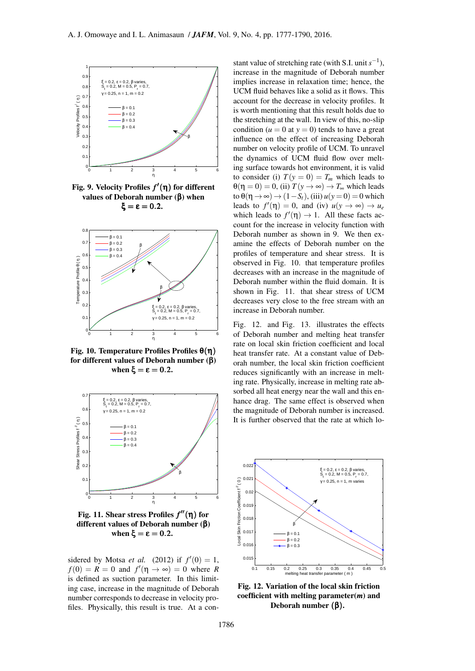

Fig. 9. Velocity Profiles *f ′* (η) for different values of Deborah number (β) when ξ = ε = 0.2.



Fig. 10. Temperature Profiles Profiles θ(η) for different values of Deborah number (β) when  $\xi = \epsilon = 0.2$ .



Fig. 11. Shear stress Profiles *f ′′*(η) for different values of Deborah number (β) when  $ξ = ε = 0.2$ .

sidered by Motsa *et al.* (2012) if  $f'(0) = 1$ ,  $f(0) = R = 0$  and  $f'(\eta \to \infty) = 0$  where *R* is defined as suction parameter. In this limiting case, increase in the magnitude of Deborah number cor[responds to decrease in](#page-12-4) velocity profiles. Physically, this result is true. At a con-

stant value of stretching rate (with S.I. unit  $s^{-1}$ ), increase in the magnitude of Deborah number implies increase in relaxation time; hence, the UCM fluid behaves like a solid as it flows. This account for the decrease in velocity profiles. It is worth mentioning that this result holds due to the stretching at the wall. In view of this, no-slip condition ( $u = 0$  at  $y = 0$ ) tends to have a great influence on the effect of increasing Deborah number on velocity profile of UCM. To unravel the dynamics of UCM fluid flow over melting surface towards hot environment, it is valid to consider (i)  $T(y = 0) = T_m$  which leads to  $\theta(\eta = 0) = 0$ , (ii)  $T(y \to \infty) \to T_{\infty}$  which leads  $\text{to } \theta(\eta \to \infty) \to (1 - S_t)$ , (iii)  $u(y = 0) = 0$  which leads to  $f'(\eta) = 0$ , and (iv)  $u(y \to \infty) \to u_e$ which leads to  $f'(\eta) \to 1$ . All these facts account for the increase in velocity function with Deborah number as shown in 9. We then examine the effects of Deborah number on the profiles of temperature and shear stress. It is observed in Fig. 10. that temperature profiles decreases with an increase in the magnitude of Deborah number within the fluid domain. It is shown in Fig. 11. that shear stress of UCM decreases very close to the free stream with an increase in Deborah number.

Fig. 12. and Fig. 13. illustrates the effects of Deborah number and melting heat transfer rate on local skin friction coefficient and local heat transfer rate. At a constant value of Deborah number, the local skin friction coefficient reduces significantly with an increase in melting rate. Physically, increase in melting rate absorbed all heat energy near the wall and this enhance drag. The same effect is observed when the magnitude of Deborah number is increased. It is further observed that the rate at which lo-



Fig. 12. Variation of the local skin friction coefficient with melting parameter(*m*) and Deborah number  $(β)$ .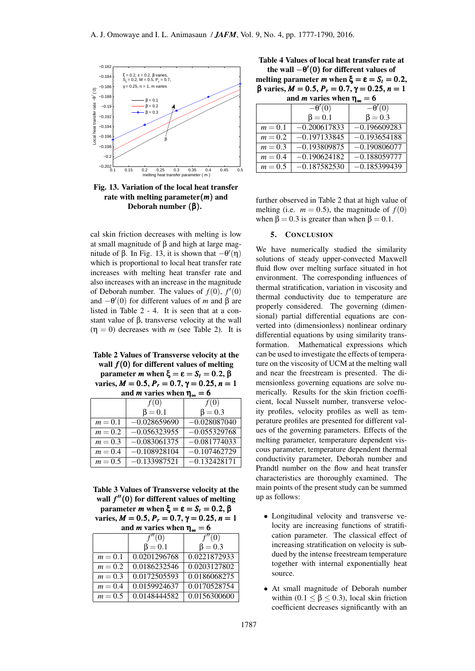

Fig. 13. Variation of the local heat transfer rate with melting parameter(*m*) and Deborah number (β).

cal skin friction decreases with melting is low at small magnitude of β and high at large magnitude of β. In Fig. 13, it is shown that *−*θ *′* (η) which is proportional to local heat transfer rate increases with melting heat transfer rate and also increases with an increase in the magnitude of Deborah number. The values of  $f(0)$ ,  $f'(0)$ and *−*θ *′* (0) for different values of *m* and β are listed in Table 2 - 4. It is seen that at a constant value of β, transverse velocity at the wall  $(\eta = 0)$  decreases with *m* (see Table 2). It is

Table 2 Values of Transverse velocity at the wall *f*(0) for different values of melting parameter *m* when  $ξ = ε = S_t = 0.2$ , β varies,  $M = 0.5$ ,  $P_r = 0.7$ ,  $\gamma = 0.25$ ,  $n = 1$ 

and *m* varies when  $\eta_{\infty} = 6$ 

|           | f(0)           | f(0)           |
|-----------|----------------|----------------|
|           | $\beta = 0.1$  | $\beta = 0.3$  |
| $m=0.1$   | $-0.028659690$ | $-0.028087040$ |
| $m = 0.2$ | $-0.056323955$ | $-0.055329768$ |
| $m = 0.3$ | $-0.083061375$ | $-0.081774033$ |
| $m = 0.4$ | $-0.108928104$ | $-0.107462729$ |
| $m = 0.5$ | $-0.133987521$ | $-0.132428171$ |

Table 3 Values of Transverse velocity at the wall *f ′′*(0) for different values of melting parameter *m* when  $ξ = ε = S_t = 0.2$ , β varies,  $M = 0.5$ ,  $P_r = 0.7$ ,  $\gamma = 0.25$ ,  $n = 1$ and *m* varies when  $n = 6$ 

| and <i>m</i> varies when $\eta_{\infty}$ – $\upsilon$ |               |               |  |  |
|-------------------------------------------------------|---------------|---------------|--|--|
|                                                       | f''(0)        | f''(0)        |  |  |
|                                                       | $\beta = 0.1$ | $\beta = 0.3$ |  |  |
| $m=0.1$                                               | 0.0201296768  | 0.0221872933  |  |  |
| $m = 0.2$                                             | 0.0186232546  | 0.0203127802  |  |  |
| $m = 0.3$                                             | 0.0172505593  | 0.0186068275  |  |  |
| $m = 0.4$                                             | 0.0159924637  | 0.0170528754  |  |  |
| $m = 0.5$                                             | 0.0148444582  | 0.0156300600  |  |  |

Table 4 Values of local heat transfer rate at the wall *−*θ *′* (0) for different values of

melting parameter *m* when  $\xi = \varepsilon = S_t = 0.2$ , β varies, *M* = 0*.*5, *P<sup>r</sup>* = 0*.*7, γ = 0*.*25, *n* = 1 and *m* varies when  $n_0 = 6$ 

| and <i>n</i> varies when $\eta_{\infty}$ |                |                |  |  |
|------------------------------------------|----------------|----------------|--|--|
|                                          | $-\theta'(0)$  | $-\theta'(0)$  |  |  |
|                                          | $\beta = 0.1$  | $\beta = 0.3$  |  |  |
| $m=0.1$                                  | $-0.200617833$ | $-0.196609283$ |  |  |
| $m = 0.2$                                | $-0.197133845$ | $-0.193654188$ |  |  |
| $m = 0.3$                                | $-0.193809875$ | $-0.190806077$ |  |  |
| $m = 0.4$                                | $-0.190624182$ | $-0.188059777$ |  |  |
| $m = 0.5$                                | $-0.187582530$ | $-0.185399439$ |  |  |

further observed in Table 2 that at high value of melting (i.e.  $m = 0.5$ ), the magnitude of  $f(0)$ when  $\beta = 0.3$  is greater than when  $\beta = 0.1$ .

#### 5. CONCLUSION

We have numerically studied the similarity solutions of steady upper-convected Maxwell fluid flow over melting surface situated in hot environment. The corresponding influences of thermal stratification, variation in viscosity and thermal conductivity due to temperature are properly considered. The governing (dimensional) partial differential equations are converted into (dimensionless) nonlinear ordinary differential equations by using similarity transformation. Mathematical expressions which can be used to investigate the effects of temperature on the viscosity of UCM at the melting wall and near the freestream is presented. The dimensionless governing equations are solve numerically. Results for the skin friction coefficient, local Nusselt number, transverse velocity profiles, velocity profiles as well as temperature profiles are presented for different values of the governing parameters. Effects of the melting parameter, temperature dependent viscous parameter, temperature dependent thermal conductivity parameter, Deborah number and Prandtl number on the flow and heat transfer characteristics are thoroughly examined. The main points of the present study can be summed up as follows:

- *•* Longitudinal velocity and transverse velocity are increasing functions of stratification parameter. The classical effect of increasing stratification on velocity is subdued by the intense freestream temperature together with internal exponentially heat source.
- *•* At small magnitude of Deborah number within  $(0.1 \leq \beta \leq 0.3)$ , local skin friction coefficient decreases significantly with an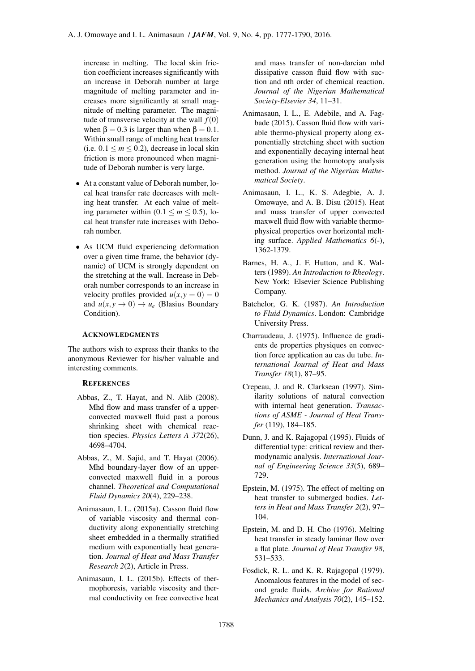increase in melting. The local skin friction coefficient increases significantly with an increase in Deborah number at large magnitude of melting parameter and increases more significantly at small magnitude of melting parameter. The magnitude of transverse velocity at the wall  $f(0)$ when  $\beta = 0.3$  is larger than when  $\beta = 0.1$ . Within small range of melting heat transfer (i.e.  $0.1 \le m \le 0.2$ ), decrease in local skin friction is more pronounced when magnitude of Deborah number is very large.

- *•* At a constant value of Deborah number, local heat transfer rate decreases with melting heat transfer. At each value of melting parameter within  $(0.1 \le m \le 0.5)$ , local heat transfer rate increases with Deborah number.
- *•* As UCM fluid experiencing deformation over a given time frame, the behavior (dynamic) of UCM is strongly dependent on the stretching at the wall. Increase in Deborah number corresponds to an increase in velocity profiles provided  $u(x, y = 0) = 0$ and  $u(x, y \to 0) \to u_e$  (Blasius Boundary Condition).

## ACKNOWLEDGMENTS

The authors wish to express their thanks to the anonymous Reviewer for his/her valuable and interesting comments.

## **REFERENCES**

- Abbas, Z., T. Hayat, and N. Alib (2008). Mhd flow and mass transfer of a upperconvected maxwell fluid past a porous shrinking sheet with chemical reaction species. *Physics Letters A 372*(26), 4698–4704.
- <span id="page-11-1"></span>Abbas, Z., M. Sajid, and T. Hayat (2006). Mhd boundary-layer flow of an upperconvected maxwell fluid in a porous channel. *Theoretical and Computational Fluid Dynamics 20*(4), 229–238.
- <span id="page-11-8"></span>Animasaun, I. L. (2015a). Casson fluid flow of variable viscosity and thermal conductivity along exponentially stretching sheet embedded in a thermally stratified medium with exponentially heat generation. *Journal of Heat and Mass Transfer Research 2*(2), Article in Press.
- <span id="page-11-11"></span>Animasaun, I. L. (2015b). Effects of thermophoresis, variable viscosity and thermal conductivity on free convective heat

and mass transfer of non-darcian mhd dissipative casson fluid flow with suction and nth order of chemical reaction. *Journal of the Nigerian Mathematical Society-Elsevier 34*, 11–31.

- <span id="page-11-5"></span>Animasaun, I. L., E. Adebile, and A. Fagbade (2015). Casson fluid flow with variable thermo-physical property along exponentially stretching sheet with suction and exponentially decaying internal heat generation using the homotopy analysis method. *Journal of the Nigerian Mathematical Society*.
- <span id="page-11-3"></span>Animasaun, I. L., K. S. Adegbie, A. J. Omowaye, and A. B. Disu (2015). Heat and mass transfer of upper convected maxwell fluid flow with variable thermophysical properties over horizontal melting surface. *Applied Mathematics 6*(-), 1362-1379.
- <span id="page-11-0"></span>Barnes, H. A., J. F. Hutton, and K. Walters (1989). *An Introduction to Rheology*. New York: Elsevier Science Publishing Company.
- <span id="page-11-7"></span>Batchelor, G. K. (1987). *An Introduction to Fluid Dynamics*. London: Cambridge University Press.
- <span id="page-11-12"></span>Charraudeau, J. (1975). Influence de gradients de properties physiques en convection force application au cas du tube. *International Journal of Heat and Mass Transfer 18*(1), 87–95.
- <span id="page-11-4"></span>Crepeau, J. and R. Clarksean (1997). Similarity solutions of natural convection with internal heat generation. *Transactions of ASME - Journal of Heat Transfer* (119), 184–185.
- <span id="page-11-9"></span>Dunn, J. and K. Rajagopal (1995). Fluids of differential type: critical review and thermodynamic analysis. *International Journal of Engineering Science 33*(5), 689– 729.
- <span id="page-11-6"></span>Epstein, M. (1975). The effect of melting on heat transfer to submerged bodies. *Letters in Heat and Mass Transfer 2*(2), 97– 104.
- <span id="page-11-10"></span>Epstein, M. and D. H. Cho (1976). Melting heat transfer in steady laminar flow over a flat plate. *Journal of Heat Transfer 98*, 531–533.
- <span id="page-11-2"></span>Fosdick, R. L. and K. R. Rajagopal (1979). Anomalous features in the model of second grade fluids. *Archive for Rational Mechanics and Analysis 70*(2), 145–152.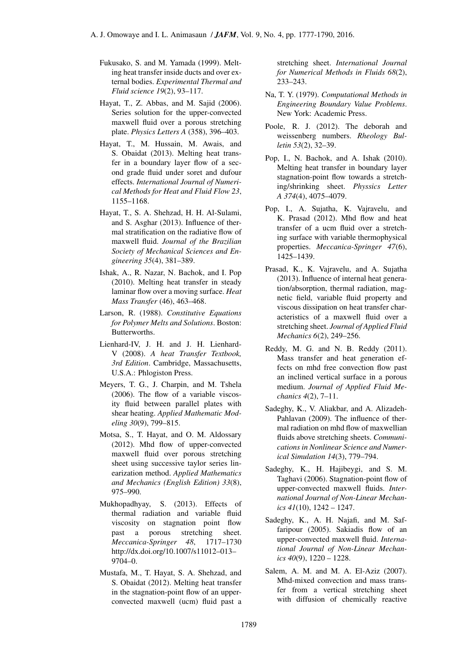- <span id="page-12-11"></span>Fukusako, S. and M. Yamada (1999). Melting heat transfer inside ducts and over external bodies. *Experimental Thermal and Fluid science 19*(2), 93–117.
- <span id="page-12-2"></span>Hayat, T., Z. Abbas, and M. Sajid (2006). Series solution for the upper-convected maxwell fluid over a porous stretching plate. *Physics Letters A* (358), 396–403.
- <span id="page-12-12"></span>Hayat, T., M. Hussain, M. Awais, and S. Obaidat (2013). Melting heat transfer in a boundary layer flow of a second grade fluid under soret and dufour effects. *International Journal of Numerical Methods for Heat and Fluid Flow 23*, 1155–1168.
- <span id="page-12-10"></span>Hayat, T., S. A. Shehzad, H. H. Al-Sulami, and S. Asghar (2013). Influence of thermal stratification on the radiative flow of maxwell fluid. *Journal of the Brazilian Society of Mechanical Sciences and Engineering 35*(4), 381–389.
- <span id="page-12-9"></span>Ishak, A., R. Nazar, N. Bachok, and I. Pop (2010). Melting heat transfer in steady laminar flow over a moving surface. *Heat Mass Transfer* (46), 463–468.
- <span id="page-12-15"></span>Larson, R. (1988). *Constitutive Equations for Polymer Melts and Solutions*. Boston: Butterworths.
- Lienhard-IV, J. H. and J. H. Lienhard-V (2008). *A heat Transfer Textbook, 3rd Edition*. Cambridge, Massachusetts, U.S.A.: Phlogiston Press.
- <span id="page-12-13"></span>Meyers, T. G., J. Charpin, and M. Tshela (2006). The flow of a variable viscosity fluid between parallel plates with shear heating. *Applied Mathematic Modeling 30*(9), 799–815.
- <span id="page-12-4"></span>Motsa, S., T. Hayat, and O. M. Aldossary (2012). Mhd flow of upper-convected maxwell fluid over porous stretching sheet using successive taylor series linearization method. *Applied Mathematics and Mechanics (English Edition) 33*(8), 975–990.
- <span id="page-12-14"></span>Mukhopadhyay, S. (2013). Effects of thermal radiation and variable fluid viscosity on stagnation point flow past a porous stretching sheet. *Meccanica-Springer 48*, 1717–1730 http://dx.doi.org/10.1007/s11012–013– 9704–0.
- <span id="page-12-5"></span>Mustafa, M., T. Hayat, S. A. Shehzad, and S. Obaidat (2012). Melting heat transfer in the stagnation-point flow of an upperconvected maxwell (ucm) fluid past a

stretching sheet. *International Journal for Numerical Methods in Fluids 68*(2), 233–243.

- <span id="page-12-17"></span>Na, T. Y. (1979). *Computational Methods in Engineering Boundary Value Problems*. New York: Academic Press.
- <span id="page-12-0"></span>Poole, R. J. (2012). The deborah and weissenberg numbers. *Rheology Bulletin 53*(2), 32–39.
- <span id="page-12-8"></span>Pop, I., N. Bachok, and A. Ishak (2010). Melting heat transfer in boundary layer stagnation-point flow towards a stretching/shrinking sheet. *Physsics Letter A 374*(4), 4075–4079.
- <span id="page-12-3"></span>Pop, I., A. Sujatha, K. Vajravelu, and K. Prasad (2012). Mhd flow and heat transfer of a ucm fluid over a stretching surface with variable thermophysical properties. *Meccanica-Springer 47*(6), 1425–1439.
- <span id="page-12-6"></span>Prasad, K., K. Vajravelu, and A. Sujatha (2013). Influence of internal heat generation/absorption, thermal radiation, magnetic field, variable fluid property and viscous dissipation on heat transfer characteristics of a maxwell fluid over a stretching sheet. *Journal of Applied Fluid Mechanics 6*(2), 249–256.
- <span id="page-12-16"></span>Reddy, M. G. and N. B. Reddy (2011). Mass transfer and heat generation effects on mhd free convection flow past an inclined vertical surface in a porous medium. *Journal of Applied Fluid Mechanics 4*(2), 7–11.
- Sadeghy, K., V. Aliakbar, and A. Alizadeh-Pahlavan (2009). The influence of thermal radiation on mhd flow of maxwellian fluids above stretching sheets. *Communications in Nonlinear Science and Numerical Simulation 14*(3), 779–794.
- Sadeghy, K., H. Hajibeygi, and S. M. Taghavi (2006). Stagnation-point flow of upper-convected maxwell fluids. *International Journal of Non-Linear Mechanics 41*(10), 1242 – 1247.
- <span id="page-12-1"></span>Sadeghy, K., A. H. Najafi, and M. Saffaripour (2005). Sakiadis flow of an upper-convected maxwell fluid. *International Journal of Non-Linear Mechanics 40*(9), 1220 – 1228.
- <span id="page-12-7"></span>Salem, A. M. and M. A. El-Aziz (2007). Mhd-mixed convection and mass transfer from a vertical stretching sheet with diffusion of chemically reactive